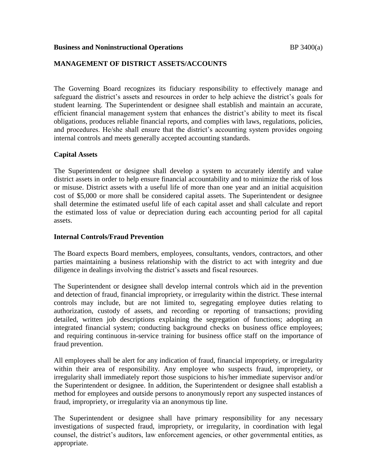#### **Business and Noninstructional Operations BP** 3400(a)

# **MANAGEMENT OF DISTRICT ASSETS/ACCOUNTS**

The Governing Board recognizes its fiduciary responsibility to effectively manage and safeguard the district's assets and resources in order to help achieve the district's goals for student learning. The Superintendent or designee shall establish and maintain an accurate, efficient financial management system that enhances the district's ability to meet its fiscal obligations, produces reliable financial reports, and complies with laws, regulations, policies, and procedures. He/she shall ensure that the district's accounting system provides ongoing internal controls and meets generally accepted accounting standards.

# **Capital Assets**

The Superintendent or designee shall develop a system to accurately identify and value district assets in order to help ensure financial accountability and to minimize the risk of loss or misuse. District assets with a useful life of more than one year and an initial acquisition cost of \$5,000 or more shall be considered capital assets. The Superintendent or designee shall determine the estimated useful life of each capital asset and shall calculate and report the estimated loss of value or depreciation during each accounting period for all capital assets.

# **Internal Controls/Fraud Prevention**

The Board expects Board members, employees, consultants, vendors, contractors, and other parties maintaining a business relationship with the district to act with integrity and due diligence in dealings involving the district's assets and fiscal resources.

The Superintendent or designee shall develop internal controls which aid in the prevention and detection of fraud, financial impropriety, or irregularity within the district. These internal controls may include, but are not limited to, segregating employee duties relating to authorization, custody of assets, and recording or reporting of transactions; providing detailed, written job descriptions explaining the segregation of functions; adopting an integrated financial system; conducting background checks on business office employees; and requiring continuous in-service training for business office staff on the importance of fraud prevention.

All employees shall be alert for any indication of fraud, financial impropriety, or irregularity within their area of responsibility. Any employee who suspects fraud, impropriety, or irregularity shall immediately report those suspicions to his/her immediate supervisor and/or the Superintendent or designee. In addition, the Superintendent or designee shall establish a method for employees and outside persons to anonymously report any suspected instances of fraud, impropriety, or irregularity via an anonymous tip line.

The Superintendent or designee shall have primary responsibility for any necessary investigations of suspected fraud, impropriety, or irregularity, in coordination with legal counsel, the district's auditors, law enforcement agencies, or other governmental entities, as appropriate.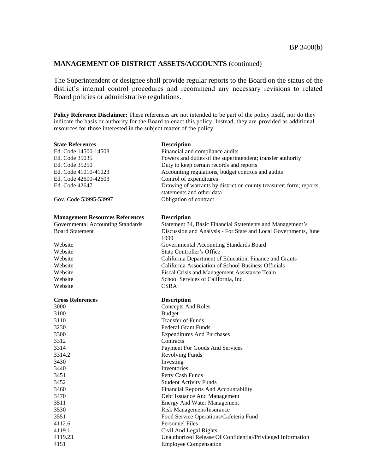The Superintendent or designee shall provide regular reports to the Board on the status of the district's internal control procedures and recommend any necessary revisions to related Board policies or administrative regulations.

**Policy Reference Disclaimer:** These references are not intended to be part of the policy itself, nor do they indicate the basis or authority for the Board to enact this policy. Instead, they are provided as additional resources for those interested in the subject matter of the policy.

| <b>State References</b>                | <b>Description</b>                                                                          |
|----------------------------------------|---------------------------------------------------------------------------------------------|
| Ed. Code 14500-14508                   | Financial and compliance audits                                                             |
| Ed. Code 35035                         | Powers and duties of the superintendent; transfer authority                                 |
| Ed. Code 35250                         | Duty to keep certain records and reports                                                    |
| Ed. Code 41010-41023                   | Accounting regulations, budget controls and audits                                          |
| Ed. Code 42600-42603                   | Control of expenditures                                                                     |
| Ed. Code 42647                         | Drawing of warrants by district on county treasurer; form; reports,                         |
|                                        | statements and other data                                                                   |
| Gov. Code 53995-53997                  | Obligation of contract                                                                      |
| <b>Management Resources References</b> | <b>Description</b>                                                                          |
| Governmental Accounting Standards      | Statement 34, Basic Financial Statements and Management's                                   |
| <b>Board Statement</b>                 | Discussion and Analysis - For State and Local Governments, June<br>1999                     |
| Website                                | Governmental Accounting Standards Board                                                     |
| Website                                | State Controller's Office                                                                   |
| Website                                | California Department of Education, Finance and Grants                                      |
| Website                                | California Association of School Business Officials                                         |
| Website                                | Fiscal Crisis and Management Assistance Team                                                |
| Website                                | School Services of California, Inc.                                                         |
| Website                                | CSBA                                                                                        |
|                                        |                                                                                             |
| <b>Cross References</b>                | <b>Description</b>                                                                          |
| 3000                                   | <b>Concepts And Roles</b>                                                                   |
| 3100                                   | <b>Budget</b>                                                                               |
| 3110                                   | <b>Transfer of Funds</b>                                                                    |
| 3230                                   | <b>Federal Grant Funds</b>                                                                  |
| 3300                                   | <b>Expenditures And Purchases</b>                                                           |
| 3312                                   | Contracts                                                                                   |
| 3314                                   | Payment For Goods And Services                                                              |
| 3314.2                                 | <b>Revolving Funds</b>                                                                      |
| 3430                                   | Investing                                                                                   |
| 3440                                   | Inventories                                                                                 |
| 3451                                   | Petty Cash Funds                                                                            |
| 3452                                   | <b>Student Activity Funds</b>                                                               |
| 3460                                   | Financial Reports And Accountability                                                        |
| 3470                                   | Debt Issuance And Management                                                                |
| 3511                                   | <b>Energy And Water Management</b>                                                          |
| 3530                                   | Risk Management/Insurance                                                                   |
| 3551                                   | Food Service Operations/Cafeteria Fund                                                      |
| 4112.6                                 | <b>Personnel Files</b>                                                                      |
| 4119.1                                 | Civil And Legal Rights                                                                      |
| 4119.23<br>4151                        | Unauthorized Release Of Confidential/Privileged Information<br><b>Employee Compensation</b> |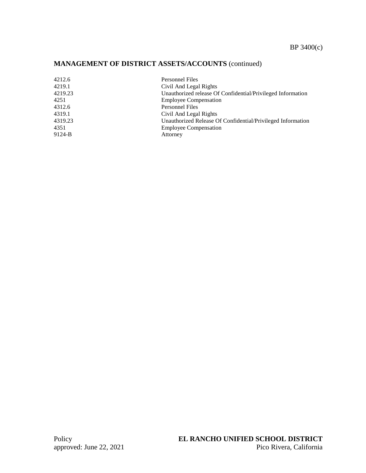| 4212.6  | <b>Personnel Files</b>                                      |
|---------|-------------------------------------------------------------|
| 4219.1  | Civil And Legal Rights                                      |
| 4219.23 | Unauthorized release Of Confidential/Privileged Information |
| 4251    | <b>Employee Compensation</b>                                |
| 4312.6  | <b>Personnel Files</b>                                      |
| 4319.1  | Civil And Legal Rights                                      |
| 4319.23 | Unauthorized Release Of Confidential/Privileged Information |
| 4351    | <b>Employee Compensation</b>                                |
| 9124-B  | Attorney                                                    |
|         |                                                             |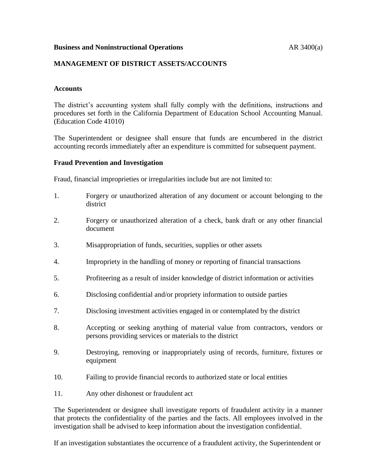#### **Business and Noninstructional Operations AR 3400(a)**

# **MANAGEMENT OF DISTRICT ASSETS/ACCOUNTS**

#### **Accounts**

The district's accounting system shall fully comply with the definitions, instructions and procedures set forth in the California Department of Education School Accounting Manual. (Education Code 41010)

The Superintendent or designee shall ensure that funds are encumbered in the district accounting records immediately after an expenditure is committed for subsequent payment.

#### **Fraud Prevention and Investigation**

Fraud, financial improprieties or irregularities include but are not limited to:

- 1. Forgery or unauthorized alteration of any document or account belonging to the district
- 2. Forgery or unauthorized alteration of a check, bank draft or any other financial document
- 3. Misappropriation of funds, securities, supplies or other assets
- 4. Impropriety in the handling of money or reporting of financial transactions
- 5. Profiteering as a result of insider knowledge of district information or activities
- 6. Disclosing confidential and/or propriety information to outside parties
- 7. Disclosing investment activities engaged in or contemplated by the district
- 8. Accepting or seeking anything of material value from contractors, vendors or persons providing services or materials to the district
- 9. Destroying, removing or inappropriately using of records, furniture, fixtures or equipment
- 10. Failing to provide financial records to authorized state or local entities
- 11. Any other dishonest or fraudulent act

The Superintendent or designee shall investigate reports of fraudulent activity in a manner that protects the confidentiality of the parties and the facts. All employees involved in the investigation shall be advised to keep information about the investigation confidential.

If an investigation substantiates the occurrence of a fraudulent activity, the Superintendent or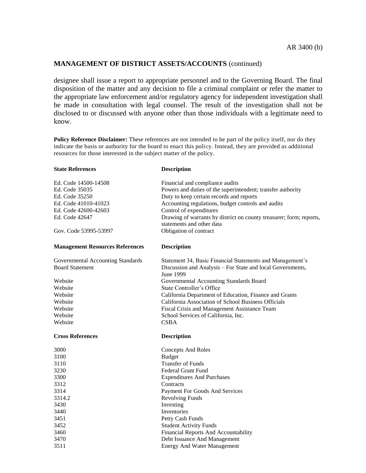designee shall issue a report to appropriate personnel and to the Governing Board. The final disposition of the matter and any decision to file a criminal complaint or refer the matter to the appropriate law enforcement and/or regulatory agency for independent investigation shall be made in consultation with legal counsel. The result of the investigation shall not be disclosed to or discussed with anyone other than those individuals with a legitimate need to know.

**Policy Reference Disclaimer:** These references are not intended to be part of the policy itself, nor do they indicate the basis or authority for the board to enact this policy. Instead, they are provided as additional resources for those interested in the subject matter of the policy.

| <b>State References</b>                | <b>Description</b>                                                                               |
|----------------------------------------|--------------------------------------------------------------------------------------------------|
| Ed. Code 14500-14508                   | Financial and compliance audits                                                                  |
| Ed. Code 35035                         | Powers and duties of the superintendent; transfer authority                                      |
| Ed. Code 35250                         | Duty to keep certain records and reports                                                         |
| Ed. Code 41010-41023                   | Accounting regulations, budget controls and audits                                               |
| Ed. Code 42600-42603                   | Control of expenditures                                                                          |
| Ed. Code 42647                         | Drawing of warrants by district on county treasurer; form; reports,<br>statements and other data |
| Gov. Code 53995-53997                  | Obligation of contract                                                                           |
| <b>Management Resources References</b> | <b>Description</b>                                                                               |
| Governmental Accounting Standards      | Statement 34, Basic Financial Statements and Management's                                        |
| <b>Board Statement</b>                 | Discussion and Analysis - For State and local Governments,<br>June 1999                          |
| Website                                | Governmental Accounting Standards Board                                                          |
| Website                                | <b>State Controller's Office</b>                                                                 |
| Website                                | California Department of Education, Finance and Grants                                           |
| Website                                | California Association of School Business Officials                                              |
| Website                                | Fiscal Crisis and Management Assistance Team                                                     |
| Website                                | School Services of California, Inc.                                                              |
| Website                                | <b>CSBA</b>                                                                                      |
| <b>Cross References</b>                | <b>Description</b>                                                                               |
| 3000                                   | <b>Concepts And Roles</b>                                                                        |
| 3100                                   | <b>Budget</b>                                                                                    |
| 3110                                   | <b>Transfer of Funds</b>                                                                         |
| 3230                                   | <b>Federal Grant Fund</b>                                                                        |
| 3300                                   | <b>Expenditures And Purchases</b>                                                                |
| 3312                                   | Contracts                                                                                        |
| 3314                                   | Payment For Goods And Services                                                                   |
| 3314.2                                 | <b>Revolving Funds</b>                                                                           |
| 3430                                   | Investing                                                                                        |
| 3440                                   | Inventories                                                                                      |
| 3451<br>3452                           | Petty Cash Funds                                                                                 |
| 3460                                   | <b>Student Activity Funds</b><br>Financial Reports And Accountability                            |
| 3470                                   | Debt Issuance And Management                                                                     |
| 3511                                   | <b>Energy And Water Management</b>                                                               |
|                                        |                                                                                                  |